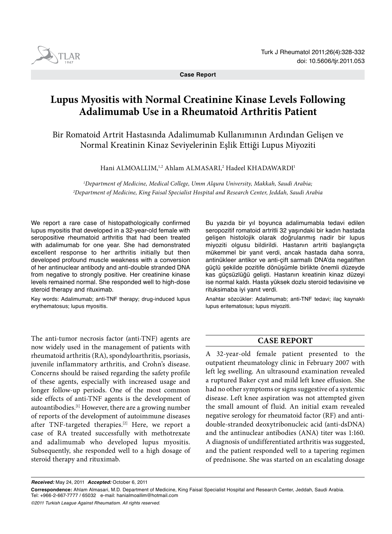

**Case Report**

# **Lupus Myositis with Normal Creatinine Kinase Levels Following Adalimumab Use in a Rheumatoid Arthritis Patient**

Bir Romatoid Artrit Hastasında Adalimumab Kullanımının Ardından Gelişen ve Normal Kreatinin Kinaz Seviyelerinin Eşlik Ettiği Lupus Miyoziti

Hani ALMOALLIM, 1,2 Ahlam ALMASARI, 2 Hadeel KHADAWARDI<sup>1</sup>

*1 Department of Medicine, Medical College, Umm Alqura University, Makkah, Saudi Arabia; 2 Department of Medicine, King Faisal Specialist Hospital and Research Center, Jeddah, Saudi Arabia*

We report a rare case of histopathologically confirmed lupus myositis that developed in a 32-year-old female with seropositive rheumatoid arthritis that had been treated with adalimumab for one year. She had demonstrated excellent response to her arthritis initially but then developed profound muscle weakness with a conversion of her antinuclear antibody and anti-double stranded DNA from negative to strongly positive. Her creatinine kinase levels remained normal. She responded well to high-dose steroid therapy and rituximab.

Key words: Adalimumab; anti-TNF therapy; drug-induced lupus erythematosus; lupus myositis.

The anti-tumor necrosis factor (anti-TNF) agents are now widely used in the management of patients with rheumatoid arthritis (RA), spondyloarthritis, psoriasis, juvenile inflammatory arthritis, and Crohn's disease. Concerns should be raised regarding the safety profile of these agents, especially with increased usage and longer follow-up periods. One of the most common side effects of anti-TNF agents is the development of autoantibodies.[1] However, there are a growing number of reports of the development of autoimmune diseases after TNF-targeted therapies.<sup>[2]</sup> Here, we report a case of RA treated successfully with methotrexate and adalimumab who developed lupus myositis. Subsequently, she responded well to a high dosage of steroid therapy and rituximab.

Bu yazıda bir yıl boyunca adalimumabla tedavi edilen seropozitif romatoid artritli 32 yaşındaki bir kadın hastada gelişen histolojik olarak doğrulanmış nadir bir lupus miyoziti olgusu bildirildi. Hastanın artriti başlangıçta mükemmel bir yanıt verdi, ancak hastada daha sonra, antinükleer antikor ve anti-çift sarmallı DNA'da negatiften güçlü şekilde pozitife dönüşümle birlikte önemli düzeyde kas güçsüzlüğü gelişti. Hastanın kreatinin kinaz düzeyi ise normal kaldı. Hasta yüksek dozlu steroid tedavisine ve rituksimaba iyi yanıt verdi.

Anahtar sözcükler: Adalimumab; anti-TNF tedavi; ilaç kaynaklı lupus eritematosus; lupus miyoziti.

# **CASE REPORT**

A 32-year-old female patient presented to the outpatient rheumatology clinic in February 2007 with left leg swelling. An ultrasound examination revealed a ruptured Baker cyst and mild left knee effusion. She had no other symptoms or signs suggestive of a systemic disease. Left knee aspiration was not attempted given the small amount of fluid. An initial exam revealed negative serology for rheumatoid factor (RF) and antidouble-stranded deoxytribonucleic acid (anti-dsDNA) and the antinuclear antibodies (ANA) titer was 1:160. A diagnosis of undifferentiated arthritis was suggested, and the patient responded well to a tapering regimen of prednisone. She was started on an escalating dosage

*©2011 Turkish League Against Rheumatism. All rights reserved.*

*Received:* May 24, 2011 *Accepted:* October 6, 2011

**Correspondence:** Ahlam Almasari, M.D. Department of Medicine, King Faisal Specialist Hospital and Research Center, Jeddah, Saudi Arabia. Tel: +966-2-667-7777 / 65032 e-mail: hanialmoallim@hotmail.com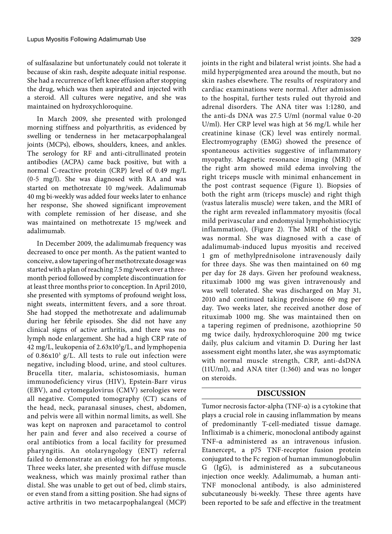of sulfasalazine but unfortunately could not tolerate it because of skin rash, despite adequate initial response. She had a recurrence of left knee effusion after stopping the drug, which was then aspirated and injected with a steroid. All cultures were negative, and she was maintained on hydroxychloroquine.

In March 2009, she presented with prolonged morning stiffness and polyarthritis, as evidenced by swelling or tenderness in her metacarpophalangeal joints (MCPs), elbows, shoulders, knees, and ankles. The serology for RF and anti-citrullinated protein antibodies (ACPA) came back positive, but with a normal C-reactive protein (CRP) level of 0.49 mg/L (0-5 mg/l). She was diagnosed with RA and was started on methotrexate 10 mg/week. Adalimumab 40 mg bi-weekly was added four weeks later to enhance her response, She showed significant improvement with complete remission of her disease, and she was maintained on methotrexate 15 mg/week and adalimumab.

In December 2009, the adalimumab frequency was decreased to once per month. As the patient wanted to conceive, a slow tapering of her methotrexate dosage was started with a plan of reaching 7.5 mg/week over a threemonth period followed by complete discontinuation for at least three months prior to conception. In April 2010, she presented with symptoms of profound weight loss, night sweats, intermittent fevers, and a sore throat. She had stopped the methotrexate and adalimumab during her febrile episodes. She did not have any clinical signs of active arthritis, and there was no lymph node enlargement. She had a high CRP rate of 42 mg/L, leukopenia of 2.63x103 g/L, and lymphopenia of  $0.86x10^3$  g/L. All tests to rule out infection were negative, including blood, urine, and stool cultures. Brucella titer, malaria, schistosomiasis, human immunodeficiency virus (HIV), Epstein-Barr virus (EBV), and cytomegalovirus (CMV) serologies were all negative. Computed tomography (CT) scans of the head, neck, paranasal sinuses, chest, abdomen, and pelvis were all within normal limits, as well. She was kept on naproxen and paracetamol to control her pain and fever and also received a course of oral antibiotics from a local facility for presumed pharyngitis. An otolaryngology (ENT) referral failed to demonstrate an etiology for her symptoms. Three weeks later, she presented with diffuse muscle weakness, which was mainly proximal rather than distal. She was unable to get out of bed, climb stairs, or even stand from a sitting position. She had signs of active arthritis in two metacarpophalangeal (MCP)

joints in the right and bilateral wrist joints. She had a mild hyperpigmented area around the mouth, but no skin rashes elsewhere. The results of respiratory and cardiac examinations were normal. After admission to the hospital, further tests ruled out thyroid and adrenal disorders. The ANA titer was 1:1280, and the anti-ds DNA was 27.5 U/ml (normal value 0-20 U/ml). Her CRP level was high at 56 mg/L while her creatinine kinase (CK) level was entirely normal. Electromyography (EMG) showed the presence of spontaneous activities suggestive of inflammatory myopathy. Magnetic resonance imaging (MRI) of the right arm showed mild edema involving the right triceps muscle with minimal enhancement in the post contrast sequence (Figure 1). Biopsies of both the right arm (triceps muscle) and right thigh (vastus lateralis muscle) were taken, and the MRI of the right arm revealed inflammatory myositis (focal mild perivascular and endomysial lymphohistiocytic inflammation), (Figure 2). The MRI of the thigh was normal. She was diagnosed with a case of adalimumab-induced lupus myositis and received 1 gm of methylprednisolone intravenously daily for three days. She was then maintained on 60 mg per day for 28 days. Given her profound weakness, rituximab 1000 mg was given intravenously and was well tolerated. She was discharged on May 31, 2010 and continued taking prednisone 60 mg per day. Two weeks later, she received another dose of rituximab 1000 mg. She was maintained then on a tapering regimen of prednisone, azothioprine 50 mg twice daily, hydroxychloroquine 200 mg twice daily, plus calcium and vitamin D. During her last assessment eight months later, she was asymptomatic with normal muscle strength, CRP, anti-dsDNA (11U/ml), and ANA titer (1:360) and was no longer on steroids.

### **DISCUSSION**

Tumor necrosis factor-alpha (TNF-α) is a cytokine that plays a crucial role in causing inflammation by means of predominantly T-cell-mediated tissue damage. Infliximab is a chimeric, monoclonal antibody against TNF-α administered as an intravenous infusion. Etanercept, a p75 TNF-receptor fusion protein conjugated to the Fc region of human immunoglobulin G (IgG), is administered as a subcutaneous injection once weekly. Adalimumab, a human anti-TNF monoclonal antibody, is also administered subcutaneously bi-weekly. These three agents have been reported to be safe and effective in the treatment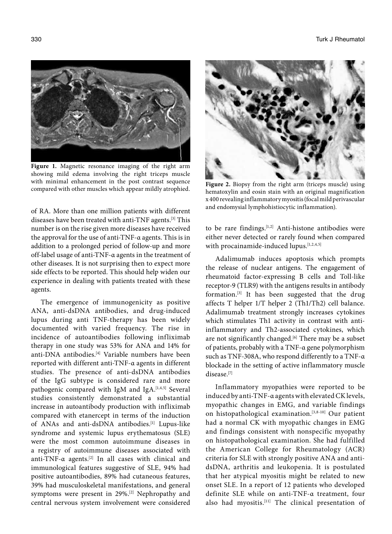

**Figure 1.** Magnetic resonance imaging of the right arm showing mild edema involving the right triceps muscle with minimal enhancement in the post contrast sequence with minimal enhancement in the post contrast sequence<br>compared with other muscles which appear mildly atrophied.<br>**Figure 2.** Biopsy from the right arm (triceps muscle) using<br>mean-fication

of RA. More than one million patients with different diseases have been treated with anti-TNF agents.[3] This number is on the rise given more diseases have received the approval for the use of anti-TNF-α agents. This is in addition to a prolonged period of follow-up and more off-label usage of anti-TNF-α agents in the treatment of other diseases. It is not surprising then to expect more side effects to be reported. This should help widen our experience in dealing with patients treated with these agents.

The emergence of immunogenicity as positive ANA, anti-dsDNA antibodies, and drug-induced lupus during anti TNF-therapy has been widely documented with varied frequency. The rise in incidence of autoantibodies following infliximab therapy in one study was 53% for ANA and 14% for anti-DNA antibodies.[4] Variable numbers have been reported with different anti-TNF-α agents in different studies. The presence of anti-dsDNA antibodies of the IgG subtype is considered rare and more pathogenic compared with IgM and IgA.<sup>[1,4,5]</sup> Several studies consistently demonstrated a substantial increase in autoantibody production with infliximab compared with etanercept in terms of the induction of ANAs and anti-dsDNA antibodies.<sup>[1]</sup> Lupus-like syndrome and systemic lupus erythematosus (SLE) were the most common autoimmune diseases in a registry of autoimmune diseases associated with anti-TNF- $\alpha$  agents.<sup>[2]</sup> In all cases with clinical and immunological features suggestive of SLE, 94% had positive autoantibodies, 89% had cutaneous features, 39% had musculoskeletal manifestations, and general symptoms were present in 29%.[2] Nephropathy and central nervous system involvement were considered



hematoxylin and eosin stain with an original magnification x 400 revealing inflammatory myositis (focal mild perivascular and endomysial lymphohistiocytic inflammation).

to be rare findings.[1,2] Anti-histone antibodies were either never detected or rarely found when compared with procainamide-induced lupus.<sup>[1,2,4,5]</sup>

Adalimumab induces apoptosis which prompts the release of nuclear antigens. The engagement of rheumatoid factor-expressing B cells and Toll-like receptor-9 (TLR9) with the antigens results in antibody formation.[3] It has been suggested that the drug affects T helper 1/T helper 2 (Th1/Th2) cell balance. Adalimumab treatment strongly increases cytokines which stimulates Th1 activity in contrast with antiinflammatory and Th2-associated cytokines, which are not significantly changed.<sup>[6]</sup> There may be a subset of patients, probably with a TNF-α gene polymorphism such as TNF-308A, who respond differently to a TNF-α blockade in the setting of active inflammatory muscle disease.[7]

Inflammatory myopathies were reported to be induced by anti-TNF-α agents with elevated CK levels, myopathic changes in EMG, and variable findings on histopathological examination.<sup>[3,8-10]</sup> Our patient had a normal CK with myopathic changes in EMG and findings consistent with nonspecific myopathy on histopathological examination. She had fulfilled the American College for Rheumatology (ACR) criteria for SLE with strongly positive ANA and antidsDNA, arthritis and leukopenia. It is postulated that her atypical myositis might be related to new onset SLE. In a report of 12 patients who developed definite SLE while on anti-TNF-α treatment, four also had myositis.<sup>[11]</sup> The clinical presentation of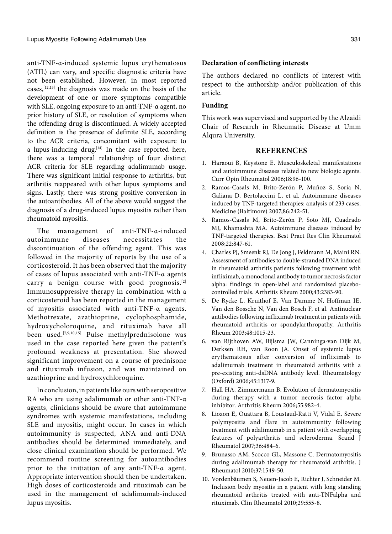anti-TNF-α-induced systemic lupus erythematosus (ATIL) can vary, and specific diagnostic criteria have not been established. However, in most reported cases, $[12,13]$  the diagnosis was made on the basis of the development of one or more symptoms compatible with SLE, ongoing exposure to an anti-TNF-α agent, no prior history of SLE, or resolution of symptoms when the offending drug is discontinued. A widely accepted definition is the presence of definite SLE, according to the ACR criteria, concomitant with exposure to a lupus-inducing drug.<sup>[14]</sup> In the case reported here, there was a temporal relationship of four distinct ACR criteria for SLE regarding adalimumab usage. There was significant initial response to arthritis, but arthritis reappeared with other lupus symptoms and signs. Lastly, there was strong positive conversion in the autoantibodies. All of the above would suggest the diagnosis of a drug-induced lupus myositis rather than rheumatoid myositis.

The management of anti-TNF-α-induced autoimmune diseases necessitates the discontinuation of the offending agent. This was followed in the majority of reports by the use of a corticosteroid. It has been observed that the majority of cases of lupus associated with anti-TNF-α agents carry a benign course with good prognosis.[2] Immunosuppressive therapy in combination with a corticosteroid has been reported in the management of myositis associated with anti-TNF-α agents. Methotrexate, azathioprine, cyclophosphamide, hydroxycholoroquine, and rituximab have all been used.[7,9,10,15] Pulse methylprednisolone was used in the case reported here given the patient's profound weakness at presentation. She showed significant improvement on a course of prednisone and rituximab infusion, and was maintained on azathioprine and hydroxychloroquine.

In conclusion, in patients like ours with seropositive RA who are using adalimumab or other anti-TNF-α agents, clinicians should be aware that autoimmune syndromes with systemic manifestations, including SLE and myositis, might occur. In cases in which autoimmunity is suspected, ANA and anti-DNA antibodies should be determined immediately, and close clinical examination should be performed. We recommend routine screening for autoantibodies prior to the initiation of any anti-TNF-α agent. Appropriate intervention should then be undertaken. High doses of corticosteroids and rituximab can be used in the management of adalimumab-induced lupus myositis.

## **Declaration of conflicting interests**

The authors declared no conflicts of interest with respect to the authorship and/or publication of this article.

## **Funding**

This work was supervised and supported by the Alzaidi Chair of Research in Rheumatic Disease at Umm Alqura University.

### **REFERENCES**

- 1. Haraoui B, Keystone E. Musculoskeletal manifestations and autoimmune diseases related to new biologic agents. Curr Opin Rheumatol 2006;18:96-100.
- 2. Ramos-Casals M, Brito-Zerón P, Muñoz S, Soria N, Galiana D, Bertolaccini L, et al. Autoimmune diseases induced by TNF-targeted therapies: analysis of 233 cases. Medicine (Baltimore) 2007;86:242-51.
- 3. Ramos-Casals M, Brito-Zerón P, Soto MJ, Cuadrado MJ, Khamashta MA. Autoimmune diseases induced by TNF-targeted therapies. Best Pract Res Clin Rheumatol 2008;22:847-61.
- 4. Charles PJ, Smeenk RJ, De Jong J, Feldmann M, Maini RN. Assessment of antibodies to double-stranded DNA induced in rheumatoid arthritis patients following treatment with infliximab, a monoclonal antibody to tumor necrosis factor alpha: findings in open-label and randomized placebocontrolled trials. Arthritis Rheum 2000;43:2383-90.
- 5. De Rycke L, Kruithof E, Van Damme N, Hoffman IE, Van den Bossche N, Van den Bosch F, et al. Antinuclear antibodies following infliximab treatment in patients with rheumatoid arthritis or spondylarthropathy. Arthritis Rheum 2003;48:1015-23.
- 6. van Rijthoven AW, Bijlsma JW, Canninga-van Dijk M, Derksen RH, van Roon JA. Onset of systemic lupus erythematosus after conversion of infliximab to adalimumab treatment in rheumatoid arthritis with a pre-existing anti-dsDNA antibody level. Rheumatology (Oxford) 2006;45:1317-9.
- 7. Hall HA, Zimmermann B. Evolution of dermatomyositis during therapy with a tumor necrosis factor alpha inhibitor. Arthritis Rheum 2006;55:982-4.
- 8. Liozon E, Ouattara B, Loustaud-Ratti V, Vidal E. Severe polymyositis and flare in autoimmunity following treatment with adalimumab in a patient with overlapping features of polyarthritis and scleroderma. Scand J Rheumatol 2007;36:484-6.
- 9. Brunasso AM, Scocco GL, Massone C. Dermatomyositis during adalimumab therapy for rheumatoid arthritis. J Rheumatol 2010;37:1549-50.
- 10. Vordenbäumen S, Neuen-Jacob E, Richter J, Schneider M. Inclusion body myositis in a patient with long standing rheumatoid arthritis treated with anti-TNFalpha and rituximab. Clin Rheumatol 2010;29:555-8.